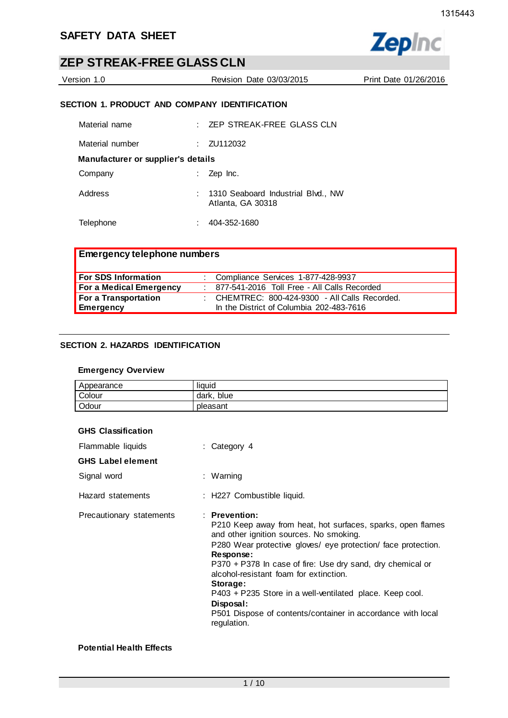

| Version 1.0 | Revision Date 03/03/2015 | Print Date 01/26/2016 |
|-------------|--------------------------|-----------------------|
|             |                          |                       |

## **SECTION 1. PRODUCT AND COMPANY IDENTIFICATION**

| Material name                      | t. | ZEP STREAK-FREE GLASS CLN                                 |
|------------------------------------|----|-----------------------------------------------------------|
| Material number                    | t. | ZU112032                                                  |
| Manufacturer or supplier's details |    |                                                           |
| Company                            |    | $\therefore$ Zep Inc.                                     |
| Address                            |    | : 1310 Seaboard Industrial Blvd., NW<br>Atlanta, GA 30318 |
| Telephone                          |    | 404-352-1680                                              |

| <b>Emergency telephone numbers</b> |  |                                                  |  |
|------------------------------------|--|--------------------------------------------------|--|
| <b>For SDS Information</b>         |  | : Compliance Services 1-877-428-9937             |  |
| <b>For a Medical Emergency</b>     |  | : 877-541-2016 Toll Free - All Calls Recorded    |  |
| For a Transportation               |  | : CHEMTREC: $800-424-9300$ - All Calls Recorded. |  |
| Emergency                          |  | In the District of Columbia 202-483-7616         |  |

## **SECTION 2. HAZARDS IDENTIFICATION**

#### **Emergency Overview**

| Appearance | .<br>liquid   |
|------------|---------------|
| Colour     | blue<br>dark. |
| Odour      | pleasant      |

#### **GHS Classification**

| Flammable liquids        | : Category $4$                                                                                                                                                                                                                                                                                                                                                                                                                                                                              |
|--------------------------|---------------------------------------------------------------------------------------------------------------------------------------------------------------------------------------------------------------------------------------------------------------------------------------------------------------------------------------------------------------------------------------------------------------------------------------------------------------------------------------------|
| <b>GHS Label element</b> |                                                                                                                                                                                                                                                                                                                                                                                                                                                                                             |
| Signal word              | : Warning                                                                                                                                                                                                                                                                                                                                                                                                                                                                                   |
| Hazard statements        | : H227 Combustible liquid.                                                                                                                                                                                                                                                                                                                                                                                                                                                                  |
| Precautionary statements | $\therefore$ Prevention:<br>P210 Keep away from heat, hot surfaces, sparks, open flames<br>and other ignition sources. No smoking.<br>P280 Wear protective gloves/ eye protection/ face protection.<br>Response:<br>P370 + P378 In case of fire: Use dry sand, dry chemical or<br>alcohol-resistant foam for extinction.<br>Storage:<br>P403 + P235 Store in a well-ventilated place. Keep cool.<br>Disposal:<br>P501 Dispose of contents/container in accordance with local<br>regulation. |

## **Potential Health Effects**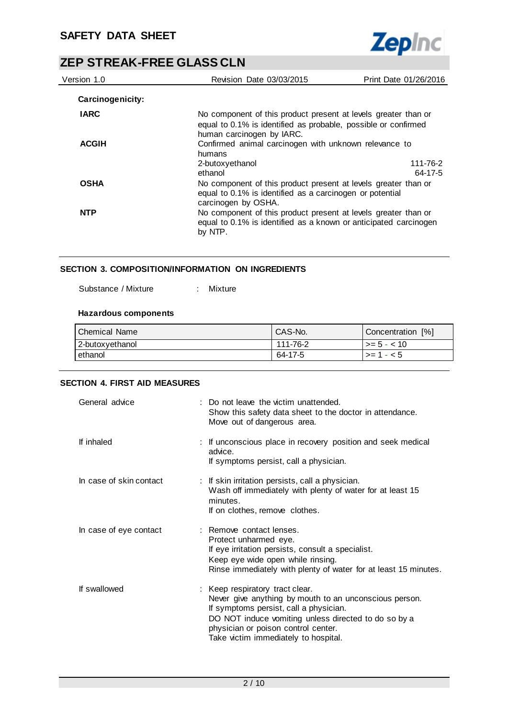

| Version 1.0      | Revision Date 03/03/2015                                                                                                                                      | Print Date 01/26/2016 |
|------------------|---------------------------------------------------------------------------------------------------------------------------------------------------------------|-----------------------|
| Carcinogenicity: |                                                                                                                                                               |                       |
| <b>IARC</b>      | No component of this product present at levels greater than or<br>equal to 0.1% is identified as probable, possible or confirmed<br>human carcinogen by IARC. |                       |
| <b>ACGIH</b>     | Confirmed animal carcinogen with unknown relevance to<br>humans                                                                                               |                       |
|                  | 2-butoxyethanol<br>ethanol                                                                                                                                    | 111-76-2<br>64-17-5   |
| <b>OSHA</b>      | No component of this product present at levels greater than or<br>equal to 0.1% is identified as a carcinogen or potential<br>carcinogen by OSHA.             |                       |
| <b>NTP</b>       | No component of this product present at levels greater than or<br>equal to 0.1% is identified as a known or anticipated carcinogen<br>by NTP.                 |                       |

## **SECTION 3. COMPOSITION/INFORMATION ON INGREDIENTS**

Substance / Mixture : Mixture

## **Hazardous components**

| <b>Chemical Name</b> | CAS-No.  | Concentration [%]   |
|----------------------|----------|---------------------|
| 2-butoxyethanol      | 111-76-2 | $\vert$ >= 5 - < 10 |
| ethanol              | 64-17-5  | $\ge$ = 1 - < 5     |

### **SECTION 4. FIRST AID MEASURES**

| General advice          | : Do not leave the victim unattended.<br>Show this safety data sheet to the doctor in attendance.<br>Move out of dangerous area.                                                                                                                                           |
|-------------------------|----------------------------------------------------------------------------------------------------------------------------------------------------------------------------------------------------------------------------------------------------------------------------|
| If inhaled              | : If unconscious place in recovery position and seek medical<br>advice.<br>If symptoms persist, call a physician.                                                                                                                                                          |
| In case of skin contact | : If skin irritation persists, call a physician.<br>Wash off immediately with plenty of water for at least 15<br>minutes.<br>If on clothes, remove clothes.                                                                                                                |
| In case of eye contact  | : Remove contact lenses.<br>Protect unharmed eye.<br>If eye irritation persists, consult a specialist.<br>Keep eye wide open while rinsing.<br>Rinse immediately with plenty of water for at least 15 minutes.                                                             |
| If swallowed            | : Keep respiratory tract clear.<br>Never give anything by mouth to an unconscious person.<br>If symptoms persist, call a physician.<br>DO NOT induce vomiting unless directed to do so by a<br>physician or poison control center.<br>Take victim immediately to hospital. |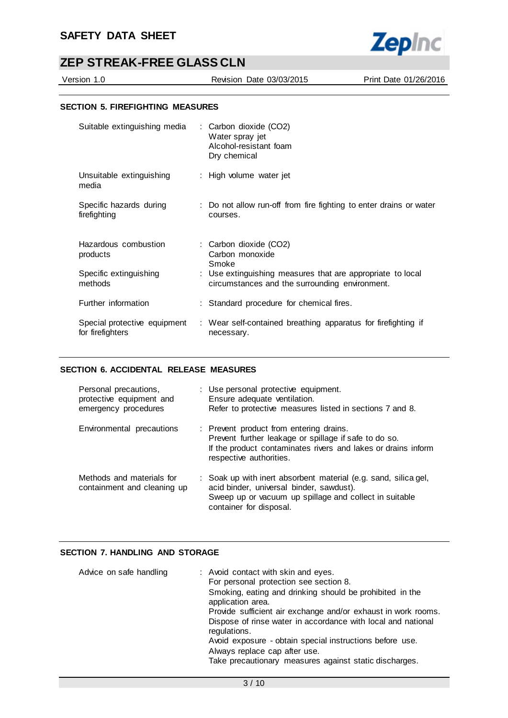

Version 1.0 Revision Date 03/03/2015 Print Date 01/26/2016

#### **SECTION 5. FIREFIGHTING MEASURES**

| Suitable extinguishing media                     | : Carbon dioxide (CO2)<br>Water spray jet<br>Alcohol-resistant foam<br>Dry chemical                          |
|--------------------------------------------------|--------------------------------------------------------------------------------------------------------------|
| Unsuitable extinguishing<br>media                | : High volume water jet                                                                                      |
| Specific hazards during<br>firefighting          | : Do not allow run-off from fire fighting to enter drains or water<br>courses.                               |
| Hazardous combustion<br>products                 | : Carbon dioxide (CO2)<br>Carbon monoxide<br>Smoke                                                           |
| Specific extinguishing<br>methods                | : Use extinguishing measures that are appropriate to local<br>circumstances and the surrounding environment. |
| Further information                              | : Standard procedure for chemical fires.                                                                     |
| Special protective equipment<br>for firefighters | : Wear self-contained breathing apparatus for firefighting if<br>necessary.                                  |

## **SECTION 6. ACCIDENTAL RELEASE MEASURES**

| Personal precautions,<br>protective equipment and<br>emergency procedures | : Use personal protective equipment.<br>Ensure adequate ventilation.<br>Refer to protective measures listed in sections 7 and 8.                                                                 |
|---------------------------------------------------------------------------|--------------------------------------------------------------------------------------------------------------------------------------------------------------------------------------------------|
| Environmental precautions                                                 | : Prevent product from entering drains.<br>Prevent further leakage or spillage if safe to do so.<br>If the product contaminates rivers and lakes or drains inform<br>respective authorities.     |
| Methods and materials for<br>containment and cleaning up                  | : Soak up with inert absorbent material (e.g. sand, silica gel,<br>acid binder, universal binder, sawdust).<br>Sweep up or vacuum up spillage and collect in suitable<br>container for disposal. |

## **SECTION 7. HANDLING AND STORAGE**

| Advice on safe handling | : Avoid contact with skin and eyes.<br>For personal protection see section 8. |
|-------------------------|-------------------------------------------------------------------------------|
|                         |                                                                               |
|                         | Smoking, eating and drinking should be prohibited in the<br>application area. |
|                         | Provide sufficient air exchange and/or exhaust in work rooms.                 |
|                         | Dispose of rinse water in accordance with local and national<br>regulations.  |
|                         | Avoid exposure - obtain special instructions before use.                      |
|                         | Always replace cap after use.                                                 |
|                         | Take precautionary measures against static discharges.                        |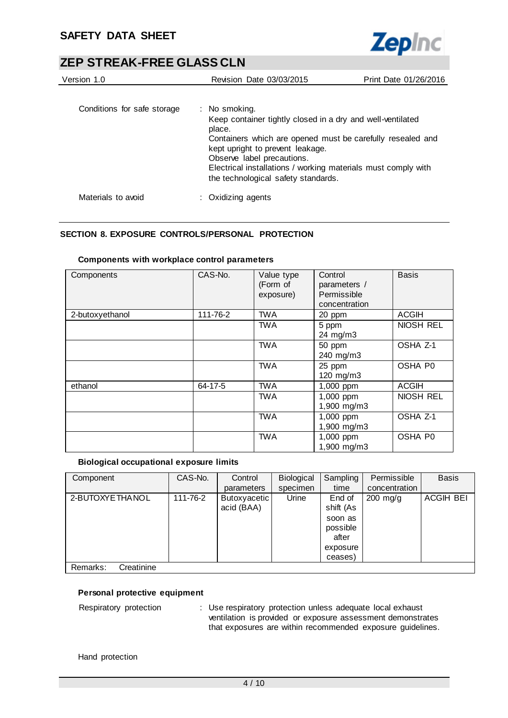

| Version 1.0                 | Revision Date 03/03/2015                                                                                                                                                                                                                                                                                                      | Print Date 01/26/2016 |
|-----------------------------|-------------------------------------------------------------------------------------------------------------------------------------------------------------------------------------------------------------------------------------------------------------------------------------------------------------------------------|-----------------------|
| Conditions for safe storage | : No smoking.<br>Keep container tightly closed in a dry and well-ventilated<br>place.<br>Containers which are opened must be carefully resealed and<br>kept upright to prevent leakage.<br>Observe label precautions.<br>Electrical installations / working materials must comply with<br>the technological safety standards. |                       |
| Materials to avoid          | Oxidizing agents                                                                                                                                                                                                                                                                                                              |                       |

## **SECTION 8. EXPOSURE CONTROLS/PERSONAL PROTECTION**

## **Components with workplace control parameters**

| Components      | CAS-No.  | Value type<br>(Form of<br>exposure) | Control<br>parameters /<br>Permissible<br>concentration | <b>Basis</b> |
|-----------------|----------|-------------------------------------|---------------------------------------------------------|--------------|
| 2-butoxyethanol | 111-76-2 | <b>TWA</b>                          | 20 ppm                                                  | <b>ACGIH</b> |
|                 |          | <b>TWA</b>                          | 5 ppm<br>24 mg/m3                                       | NIOSH REL    |
|                 |          | <b>TWA</b>                          | 50 ppm<br>240 mg/m3                                     | OSHA Z-1     |
|                 |          | <b>TWA</b>                          | 25 ppm<br>120 mg/m3                                     | OSHA P0      |
| ethanol         | 64-17-5  | <b>TWA</b>                          | 1,000 ppm                                               | <b>ACGIH</b> |
|                 |          | <b>TWA</b>                          | 1,000 ppm<br>1,900 mg/m3                                | NIOSH REL    |
|                 |          | <b>TWA</b>                          | 1,000 ppm<br>1,900 mg/m3                                | OSHA Z-1     |
|                 |          | <b>TWA</b>                          | 1,000 ppm<br>1,900 mg/m3                                | OSHA P0      |

### **Biological occupational exposure limits**

| Component              | CAS-No.  | Control                           | Biological | Sampling                                            | Permissible   | <b>Basis</b>     |
|------------------------|----------|-----------------------------------|------------|-----------------------------------------------------|---------------|------------------|
|                        |          | parameters                        | specimen   | time                                                | concentration |                  |
| 2-BUTOXYE THANOL       | 111-76-2 | <b>Butoxyacetic</b><br>acid (BAA) | Urine      | End of<br>shift (As<br>soon as<br>possible<br>after | $200$ mg/g    | <b>ACGIH BEI</b> |
|                        |          |                                   |            | exposure<br>ceases)                                 |               |                  |
| Creatinine<br>Remarks: |          |                                   |            |                                                     |               |                  |

#### **Personal protective equipment**

Respiratory protection : Use respiratory protection unless adequate local exhaust ventilation is provided or exposure assessment demonstrates that exposures are within recommended exposure guidelines.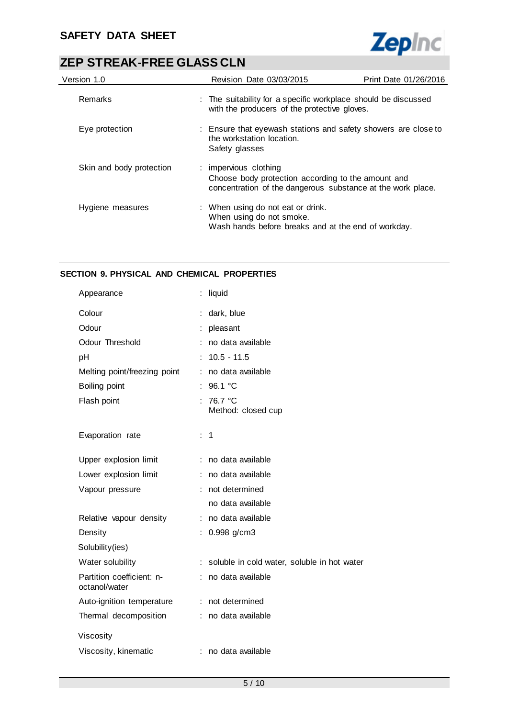

| Version 1.0              | Revision Date 03/03/2015                                                                                             | Print Date 01/26/2016                                          |
|--------------------------|----------------------------------------------------------------------------------------------------------------------|----------------------------------------------------------------|
| Remarks                  | : The suitability for a specific workplace should be discussed<br>with the producers of the protective gloves.       |                                                                |
| Eye protection           | the workstation location.<br>Safety glasses                                                                          | : Ensure that eyewash stations and safety showers are close to |
| Skin and body protection | : impervious clothing<br>Choose body protection according to the amount and                                          | concentration of the dangerous substance at the work place.    |
| Hygiene measures         | : When using do not eat or drink.<br>When using do not smoke.<br>Wash hands before breaks and at the end of workday. |                                                                |

## **SECTION 9. PHYSICAL AND CHEMICAL PROPERTIES**

| Appearance                                 |    | liquid                                        |
|--------------------------------------------|----|-----------------------------------------------|
| Colour                                     |    | dark, blue                                    |
| Odour                                      |    | : pleasant                                    |
| Odour Threshold                            |    | no data available                             |
| pH                                         |    | $10.5 - 11.5$                                 |
| Melting point/freezing point               | ÷  | no data available                             |
| Boiling point                              |    | 96.1 °C                                       |
| Flash point                                |    | : 76.7 $^{\circ}$ C<br>Method: closed cup     |
| Evaporation rate                           |    | : 1                                           |
| Upper explosion limit                      |    | : no data available                           |
| Lower explosion limit                      |    | : no data available                           |
| Vapour pressure                            |    | : not determined                              |
|                                            |    | no data available                             |
| Relative vapour density                    |    | : no data available                           |
| Density                                    |    | : $0.998$ g/cm3                               |
| Solubility(ies)                            |    |                                               |
| Water solubility                           |    | : soluble in cold water, soluble in hot water |
| Partition coefficient: n-<br>octanol/water | t. | no data available                             |
| Auto-ignition temperature                  |    | : not determined                              |
| Thermal decomposition                      |    | : no data available                           |
| Viscosity                                  |    |                                               |
| Viscosity, kinematic                       |    | : no data available                           |
|                                            |    |                                               |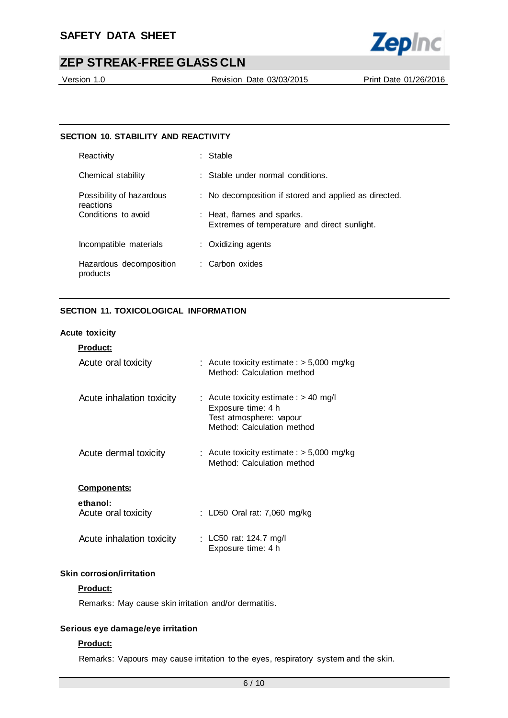

Version 1.0 Revision Date 03/03/2015 Print Date 01/26/2016

## **SECTION 10. STABILITY AND REACTIVITY**

| Reactivity                                                   | : Stable                                                                                                                            |
|--------------------------------------------------------------|-------------------------------------------------------------------------------------------------------------------------------------|
| Chemical stability                                           | : Stable under normal conditions.                                                                                                   |
| Possibility of hazardous<br>reactions<br>Conditions to avoid | : No decomposition if stored and applied as directed.<br>: Heat, flames and sparks.<br>Extremes of temperature and direct sunlight. |
| Incompatible materials                                       | : Oxidizing agents                                                                                                                  |
| Hazardous decomposition<br>products                          | : Carbon oxides                                                                                                                     |

## **SECTION 11. TOXICOLOGICAL INFORMATION**

## **Acute toxicity**

| <u>Product:</u>                 |                                                                                                                        |
|---------------------------------|------------------------------------------------------------------------------------------------------------------------|
| Acute oral toxicity             | : Acute toxicity estimate : $>$ 5,000 mg/kg<br>Method: Calculation method                                              |
| Acute inhalation toxicity       | : Acute toxicity estimate : $> 40$ mg/l<br>Exposure time: 4 h<br>Test atmosphere: vapour<br>Method: Calculation method |
| Acute dermal toxicity           | : Acute toxicity estimate : $>$ 5,000 mg/kg<br>Method: Calculation method                                              |
| <b>Components:</b>              |                                                                                                                        |
| ethanol:<br>Acute oral toxicity | : LD50 Oral rat: 7,060 mg/kg                                                                                           |
| Acute inhalation toxicity       | : LC50 rat: 124.7 mg/l<br>Exposure time: 4 h                                                                           |

## **Skin corrosion/irritation**

## **Product:**

Remarks: May cause skin irritation and/or dermatitis.

## **Serious eye damage/eye irritation**

## **Product:**

Remarks: Vapours may cause irritation to the eyes, respiratory system and the skin.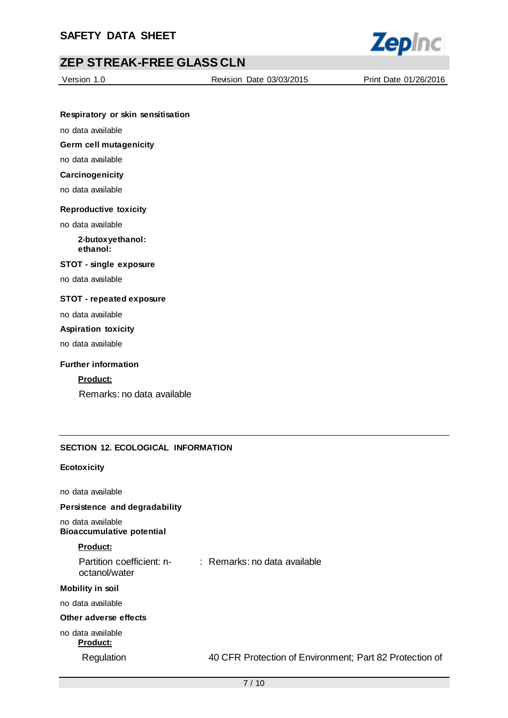

Version 1.0 Revision Date 03/03/2015 Print Date 01/26/2016

#### **Respiratory or skin sensitisation**

no data available

## **Germ cell mutagenicity**

no data available

## **Carcinogenicity**

no data available

## **Reproductive toxicity**

no data available

**2-butoxyethanol: ethanol:**

#### **STOT - single exposure**

no data available

#### **STOT - repeated exposure**

no data available

#### **Aspiration toxicity**

no data available

#### **Further information**

### **Product:**

Remarks: no data available

### **SECTION 12. ECOLOGICAL INFORMATION**

#### **Ecotoxicity**

no data available

#### **Persistence and degradability**

no data available **Bioaccumulative potential**

### **Product:**

| Partition coefficient: n- | : Remarks: no data available |
|---------------------------|------------------------------|
| octanol/water             |                              |

#### **Mobility in soil**

no data available

#### **Other adverse effects**

no data available **Product:**

Regulation 40 CFR Protection of Environment; Part 82 Protection of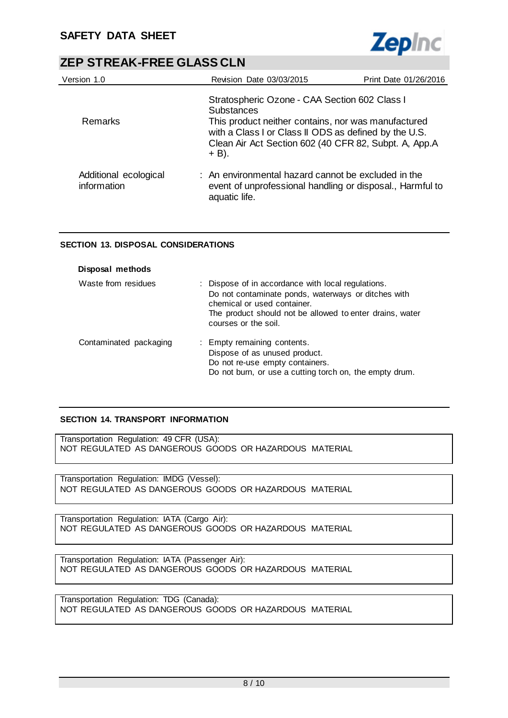

| Version 1.0                          | Revision Date 03/03/2015                                                                                                                                                                                                                               | Print Date 01/26/2016 |
|--------------------------------------|--------------------------------------------------------------------------------------------------------------------------------------------------------------------------------------------------------------------------------------------------------|-----------------------|
| Remarks                              | Stratospheric Ozone - CAA Section 602 Class I<br><b>Substances</b><br>This product neither contains, nor was manufactured<br>with a Class I or Class II ODS as defined by the U.S.<br>Clean Air Act Section 602 (40 CFR 82, Subpt. A, App.A<br>$+$ B). |                       |
| Additional ecological<br>information | : An environmental hazard cannot be excluded in the<br>event of unprofessional handling or disposal., Harmful to<br>aquatic life.                                                                                                                      |                       |

## **SECTION 13. DISPOSAL CONSIDERATIONS**

| Disposal methods       |                                                                                                                                                                                                                              |
|------------------------|------------------------------------------------------------------------------------------------------------------------------------------------------------------------------------------------------------------------------|
| Waste from residues    | : Dispose of in accordance with local regulations.<br>Do not contaminate ponds, waterways or ditches with<br>chemical or used container.<br>The product should not be allowed to enter drains, water<br>courses or the soil. |
| Contaminated packaging | : Empty remaining contents.<br>Dispose of as unused product.<br>Do not re-use empty containers.<br>Do not burn, or use a cutting torch on, the empty drum.                                                                   |

### **SECTION 14. TRANSPORT INFORMATION**

Transportation Regulation: 49 CFR (USA): NOT REGULATED AS DANGEROUS GOODS OR HAZARDOUS MATERIAL

Transportation Regulation: IMDG (Vessel): NOT REGULATED AS DANGEROUS GOODS OR HAZARDOUS MATERIAL

Transportation Regulation: IATA (Cargo Air): NOT REGULATED AS DANGEROUS GOODS OR HAZARDOUS MATERIAL

Transportation Regulation: IATA (Passenger Air): NOT REGULATED AS DANGEROUS GOODS OR HAZARDOUS MATERIAL

Transportation Regulation: TDG (Canada): NOT REGULATED AS DANGEROUS GOODS OR HAZARDOUS MATERIAL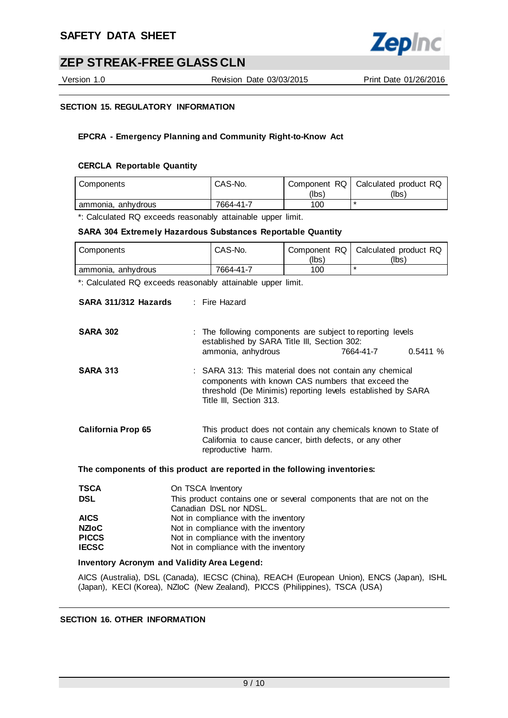

Version 1.0 Revision Date 03/03/2015 Print Date 01/26/2016

## **SECTION 15. REGULATORY INFORMATION**

### **EPCRA - Emergency Planning and Community Right-to-Know Act**

#### **CERCLA Reportable Quantity**

| Components         | CAS-No.   |       | Component RQ   Calculated product RQ |
|--------------------|-----------|-------|--------------------------------------|
|                    |           | (lbs) | (Ibs)                                |
| ammonia, anhydrous | 7664-41-7 | 100   |                                      |

\*: Calculated RQ exceeds reasonably attainable upper limit.

#### **SARA 304 Extremely Hazardous Substances Reportable Quantity**

| Components         | CAS-No.   | Component RQ | Calculated product RQ |
|--------------------|-----------|--------------|-----------------------|
|                    |           | (lbs`        | (lbs)                 |
| ammonia, anhydrous | 7664-41-7 | 100          |                       |

\*: Calculated RQ exceeds reasonably attainable upper limit.

| SARA 311/312 Hazards      | : Fire Hazard                                                                                                                                                                                          |           |         |
|---------------------------|--------------------------------------------------------------------------------------------------------------------------------------------------------------------------------------------------------|-----------|---------|
| <b>SARA 302</b>           | : The following components are subject to reporting levels<br>established by SARA Title III, Section 302:                                                                                              |           |         |
|                           | ammonia, anhydrous                                                                                                                                                                                     | 7664-41-7 | 0.5411% |
| <b>SARA 313</b>           | : SARA 313: This material does not contain any chemical<br>components with known CAS numbers that exceed the<br>threshold (De Minimis) reporting levels established by SARA<br>Title III, Section 313. |           |         |
| <b>California Prop 65</b> | This product does not contain any chemicals known to State of<br>California to cause cancer, birth defects, or any other<br>reproductive harm.                                                         |           |         |

#### **The components of this product are reported in the following inventories:**

| On TSCA Inventory                                                   |
|---------------------------------------------------------------------|
| This product contains one or several components that are not on the |
| Canadian DSL nor NDSL.                                              |
| Not in compliance with the inventory                                |
| Not in compliance with the inventory                                |
| Not in compliance with the inventory                                |
| Not in compliance with the inventory                                |
|                                                                     |

#### **Inventory Acronym and Validity Area Legend:**

AICS (Australia), DSL (Canada), IECSC (China), REACH (European Union), ENCS (Japan), ISHL (Japan), KECI (Korea), NZIoC (New Zealand), PICCS (Philippines), TSCA (USA)

## **SECTION 16. OTHER INFORMATION**